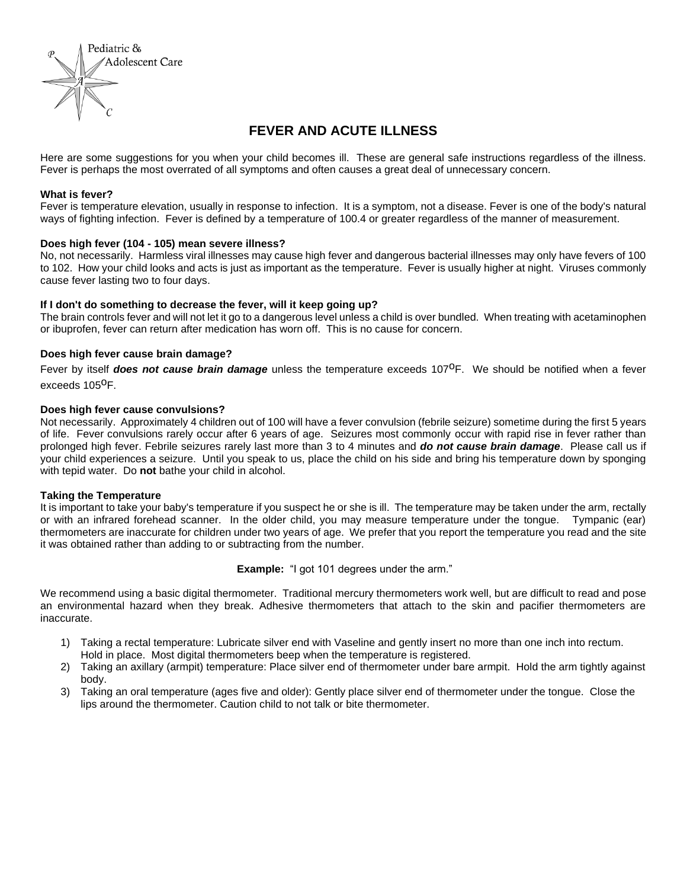

# **FEVER AND ACUTE ILLNESS**

Here are some suggestions for you when your child becomes ill. These are general safe instructions regardless of the illness. Fever is perhaps the most overrated of all symptoms and often causes a great deal of unnecessary concern.

### **What is fever?**

Fever is temperature elevation, usually in response to infection. It is a symptom, not a disease. Fever is one of the body's natural ways of fighting infection. Fever is defined by a temperature of 100.4 or greater regardless of the manner of measurement.

### **Does high fever (104 - 105) mean severe illness?**

No, not necessarily. Harmless viral illnesses may cause high fever and dangerous bacterial illnesses may only have fevers of 100 to 102. How your child looks and acts is just as important as the temperature. Fever is usually higher at night. Viruses commonly cause fever lasting two to four days.

### **If I don't do something to decrease the fever, will it keep going up?**

The brain controls fever and will not let it go to a dangerous level unless a child is over bundled. When treating with acetaminophen or ibuprofen, fever can return after medication has worn off. This is no cause for concern.

## **Does high fever cause brain damage?**

Fever by itself **does not cause brain damage** unless the temperature exceeds 107<sup>o</sup>F. We should be notified when a fever exceeds 105<sup>0</sup>F.

### **Does high fever cause convulsions?**

Not necessarily. Approximately 4 children out of 100 will have a fever convulsion (febrile seizure) sometime during the first 5 years of life. Fever convulsions rarely occur after 6 years of age. Seizures most commonly occur with rapid rise in fever rather than prolonged high fever. Febrile seizures rarely last more than 3 to 4 minutes and *do not cause brain damage*. Please call us if your child experiences a seizure. Until you speak to us, place the child on his side and bring his temperature down by sponging with tepid water. Do **not** bathe your child in alcohol.

### **Taking the Temperature**

It is important to take your baby's temperature if you suspect he or she is ill. The temperature may be taken under the arm, rectally or with an infrared forehead scanner. In the older child, you may measure temperature under the tongue. Tympanic (ear) thermometers are inaccurate for children under two years of age. We prefer that you report the temperature you read and the site it was obtained rather than adding to or subtracting from the number.

**Example:** "I got 101 degrees under the arm."

We recommend using a basic digital thermometer. Traditional mercury thermometers work well, but are difficult to read and pose an environmental hazard when they break. Adhesive thermometers that attach to the skin and pacifier thermometers are inaccurate.

- 1) Taking a rectal temperature: Lubricate silver end with Vaseline and gently insert no more than one inch into rectum. Hold in place. Most digital thermometers beep when the temperature is registered.
- 2) Taking an axillary (armpit) temperature: Place silver end of thermometer under bare armpit. Hold the arm tightly against body.
- 3) Taking an oral temperature (ages five and older): Gently place silver end of thermometer under the tongue. Close the lips around the thermometer. Caution child to not talk or bite thermometer.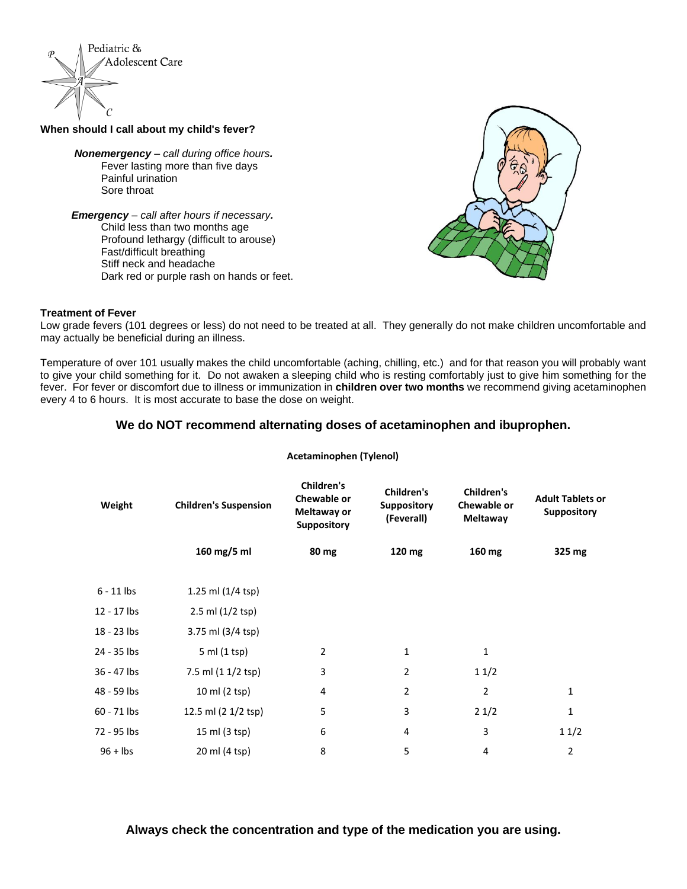

## **When should I call about my child's fever?**

*Nonemergency – call during office hours.* Fever lasting more than five days Painful urination Sore throat

*Emergency* – *call after hours if necessary.* Child less than two months age Profound lethargy (difficult to arouse) Fast/difficult breathing Stiff neck and headache Dark red or purple rash on hands or feet.



### **Treatment of Fever**

Low grade fevers (101 degrees or less) do not need to be treated at all. They gen[erally do not](https://creativecommons.org/licenses/by-nc-sa/3.0/) make children uncomfortable and may actually be beneficial during an illness.

Temperature of over 101 usually makes the child uncomfortable (aching, chilling, etc.) and for that reason you will probably want to give your child something for it. Do not awaken a sleeping child who is resting comfortably just to give him something for the fever. For fever or discomfort due to illness or immunization in **children over two months** we recommend giving acetaminophen every 4 to 6 hours. It is most accurate to base the dose on weight.

# **We do NOT recommend alternating doses of acetaminophen and ibuprophen.**

| Weight       | <b>Children's Suspension</b> | Children's<br>Chewable or<br>Meltaway or<br><b>Suppository</b> | Children's<br><b>Suppository</b><br>(Feverall) | <b>Children's</b><br>Chewable or<br><b>Meltaway</b> | <b>Adult Tablets or</b><br><b>Suppository</b> |
|--------------|------------------------------|----------------------------------------------------------------|------------------------------------------------|-----------------------------------------------------|-----------------------------------------------|
|              | 160 mg/5 ml                  | 80 mg                                                          | 120 mg                                         | 160 mg                                              | 325 mg                                        |
| $6 - 11$ lbs | 1.25 ml (1/4 tsp)            |                                                                |                                                |                                                     |                                               |
| 12 - 17 lbs  | 2.5 ml (1/2 tsp)             |                                                                |                                                |                                                     |                                               |
| 18 - 23 lbs  | 3.75 ml (3/4 tsp)            |                                                                |                                                |                                                     |                                               |
| 24 - 35 lbs  | 5 ml (1 tsp)                 | $\overline{2}$                                                 | 1                                              | 1                                                   |                                               |
| 36 - 47 lbs  | 7.5 ml (1 1/2 tsp)           | 3                                                              | 2                                              | 11/2                                                |                                               |
| 48 - 59 lbs  | 10 ml (2 tsp)                | 4                                                              | 2                                              | 2                                                   | $\mathbf 1$                                   |
| 60 - 71 lbs  | 12.5 ml (2 1/2 tsp)          | 5                                                              | 3                                              | 21/2                                                | $\mathbf 1$                                   |
| 72 - 95 lbs  | 15 ml (3 tsp)                | 6                                                              | 4                                              | 3                                                   | 11/2                                          |
| $96 +$ lbs   | 20 ml (4 tsp)                | 8                                                              | 5                                              | 4                                                   | $\overline{2}$                                |

### **Acetaminophen (Tylenol)**

# **Always check the concentration and type of the medication you are using.**